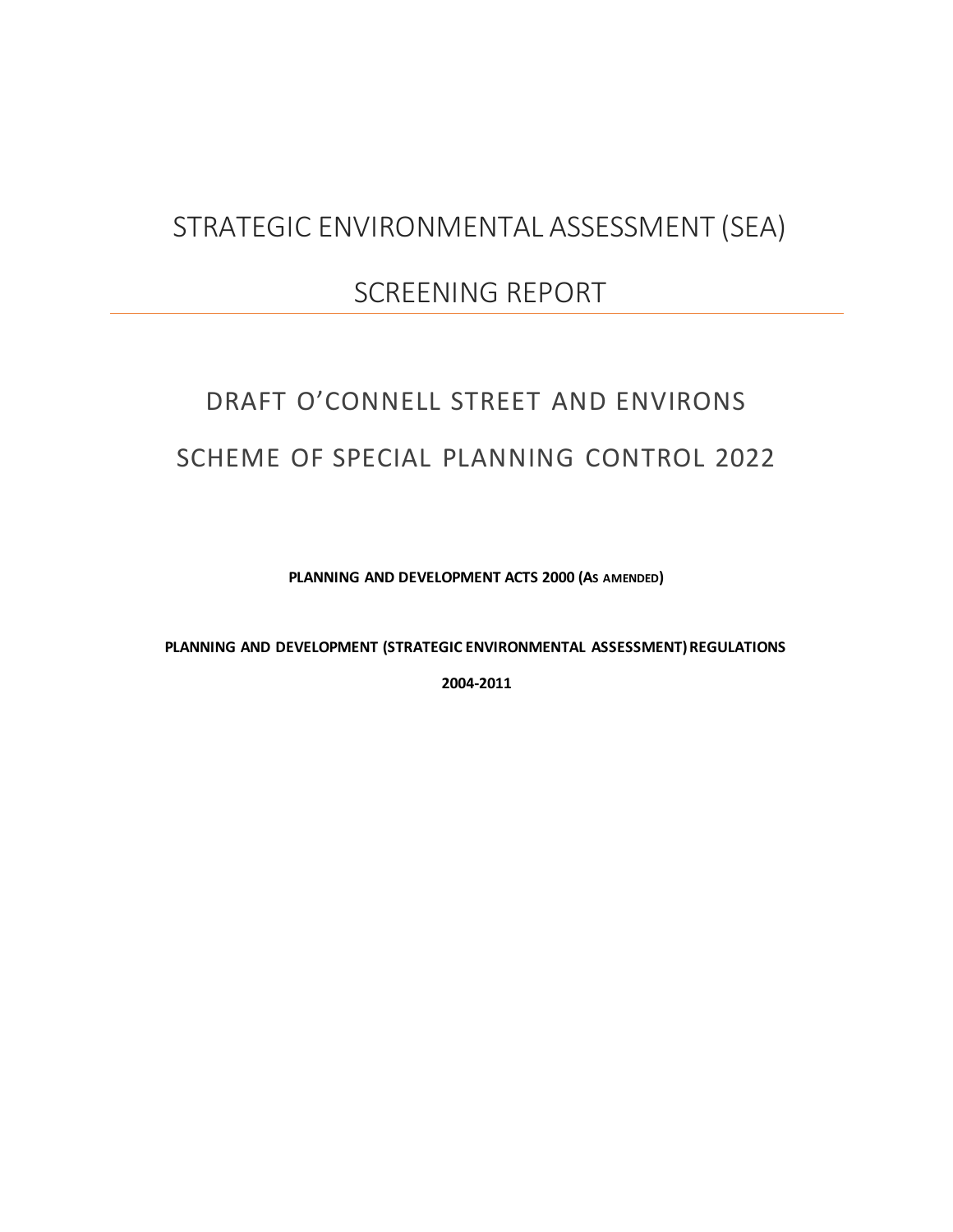## STRATEGIC ENVIRONMENTAL ASSESSMENT (SEA)

## SCREENING REPORT

# DRAFT O'CONNELL STREET AND ENVIRONS SCHEME OF SPECIAL PLANNING CONTROL 2022

**PLANNING AND DEVELOPMENT ACTS 2000 (AS AMENDED)**

**PLANNING AND DEVELOPMENT (STRATEGIC ENVIRONMENTAL ASSESSMENT) REGULATIONS**

**2004-2011**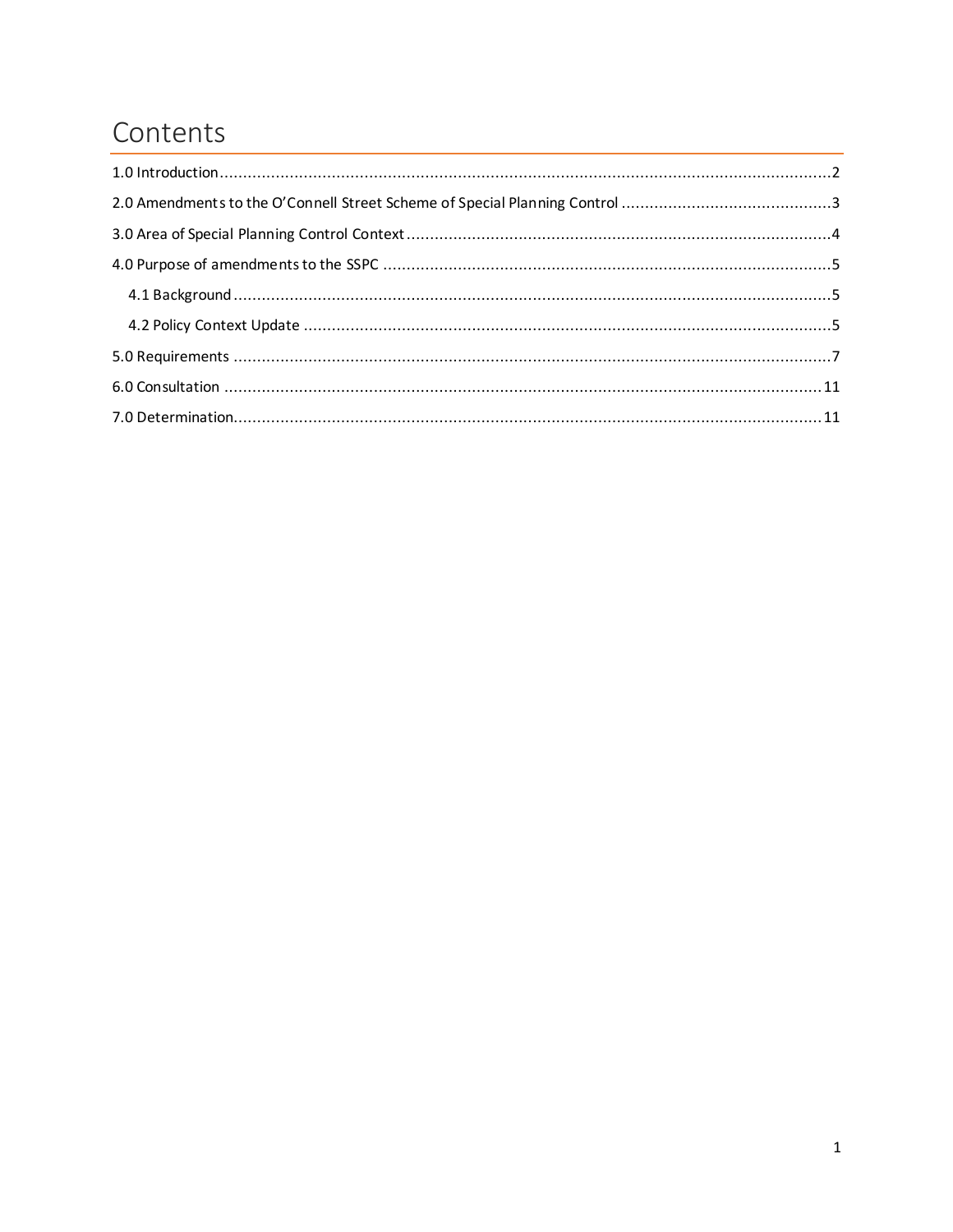## Contents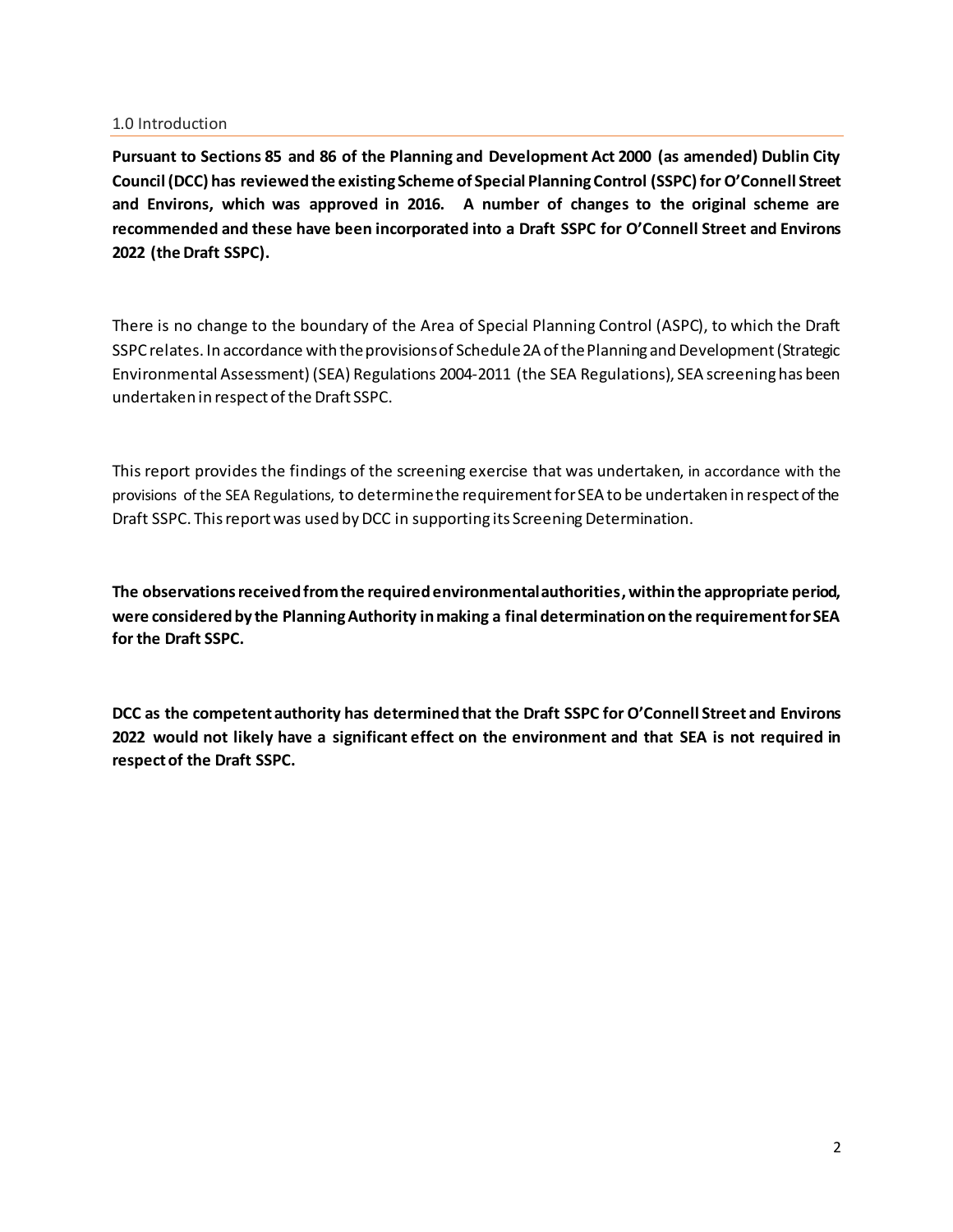#### <span id="page-2-0"></span>1.0 Introduction

**Pursuant to Sections 85 and 86 of the Planning and Development Act 2000 (as amended) Dublin City Council (DCC) has reviewed the existing Scheme of Special Planning Control (SSPC) for O'Connell Street and Environs, which was approved in 2016. A number of changes to the original scheme are recommended and these have been incorporated into a Draft SSPC for O'Connell Street and Environs 2022 (the Draft SSPC).** 

There is no change to the boundary of the Area of Special Planning Control (ASPC), to which the Draft SSPC relates. In accordance with the provisions of Schedule 2A of the Planning and Development (Strategic Environmental Assessment) (SEA) Regulations 2004-2011 (the SEA Regulations), SEA screening has been undertaken in respect of the Draft SSPC.

This report provides the findings of the screening exercise that was undertaken, in accordance with the provisions of the SEA Regulations, to determine the requirement for SEA to be undertaken in respect of the Draft SSPC. This report was used by DCC in supporting its Screening Determination.

**The observations received from the required environmental authorities, within the appropriate period, were considered by the Planning Authority in making a final determination on the requirement for SEA for the Draft SSPC.** 

**DCC as the competent authority has determined that the Draft SSPC for O'Connell Street and Environs 2022 would not likely have a significant effect on the environment and that SEA is not required in respect of the Draft SSPC.**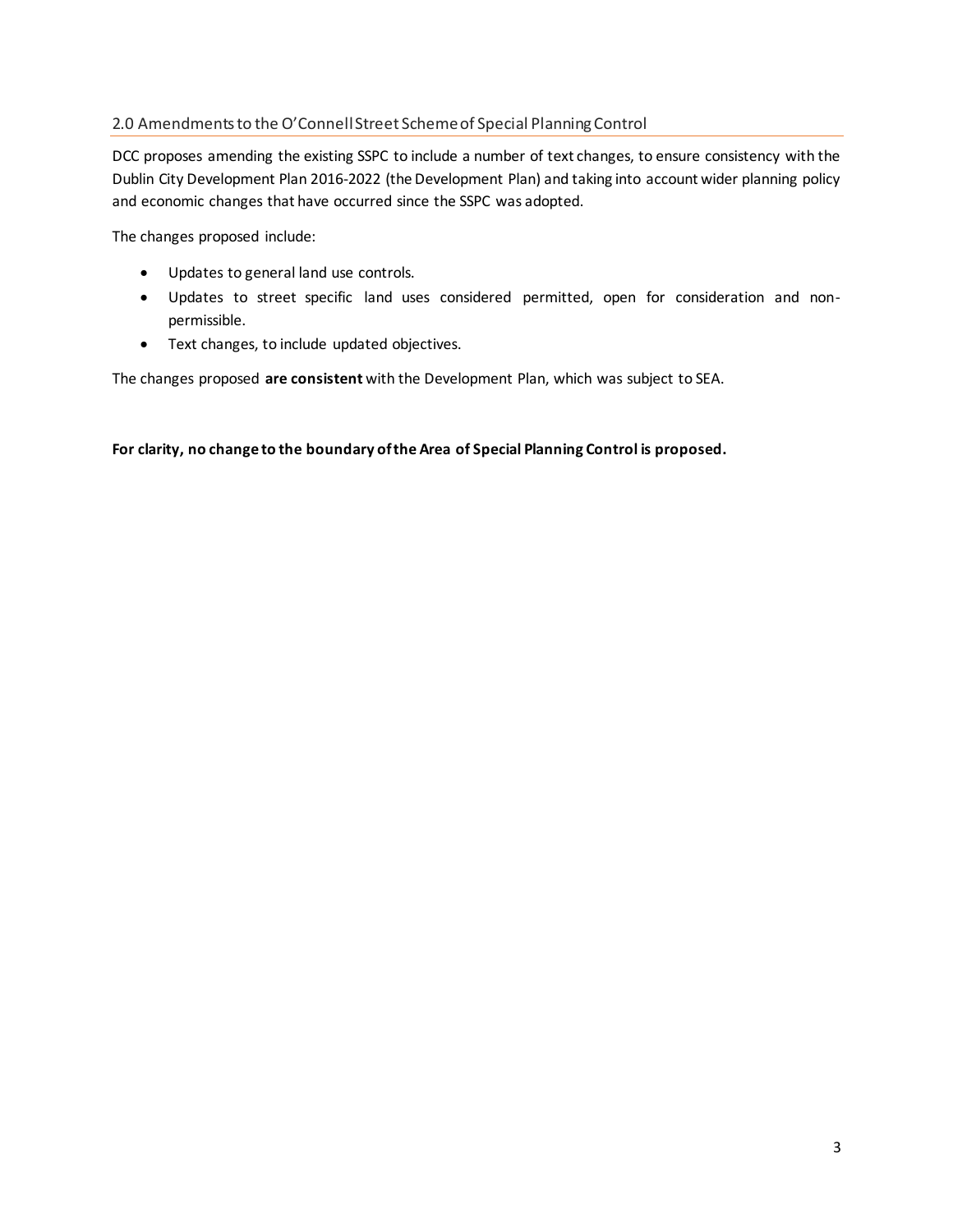### <span id="page-3-0"></span>2.0 Amendments to the O'Connell Street Scheme of Special Planning Control

DCC proposes amending the existing SSPC to include a number of text changes, to ensure consistency with the Dublin City Development Plan 2016-2022 (the Development Plan) and taking into account wider planning policy and economic changes that have occurred since the SSPC was adopted.

The changes proposed include:

- Updates to general land use controls.
- Updates to street specific land uses considered permitted, open for consideration and nonpermissible.
- Text changes, to include updated objectives.

The changes proposed **are consistent** with the Development Plan, which was subject to SEA.

**For clarity, no change to the boundary of the Area of Special Planning Control is proposed.**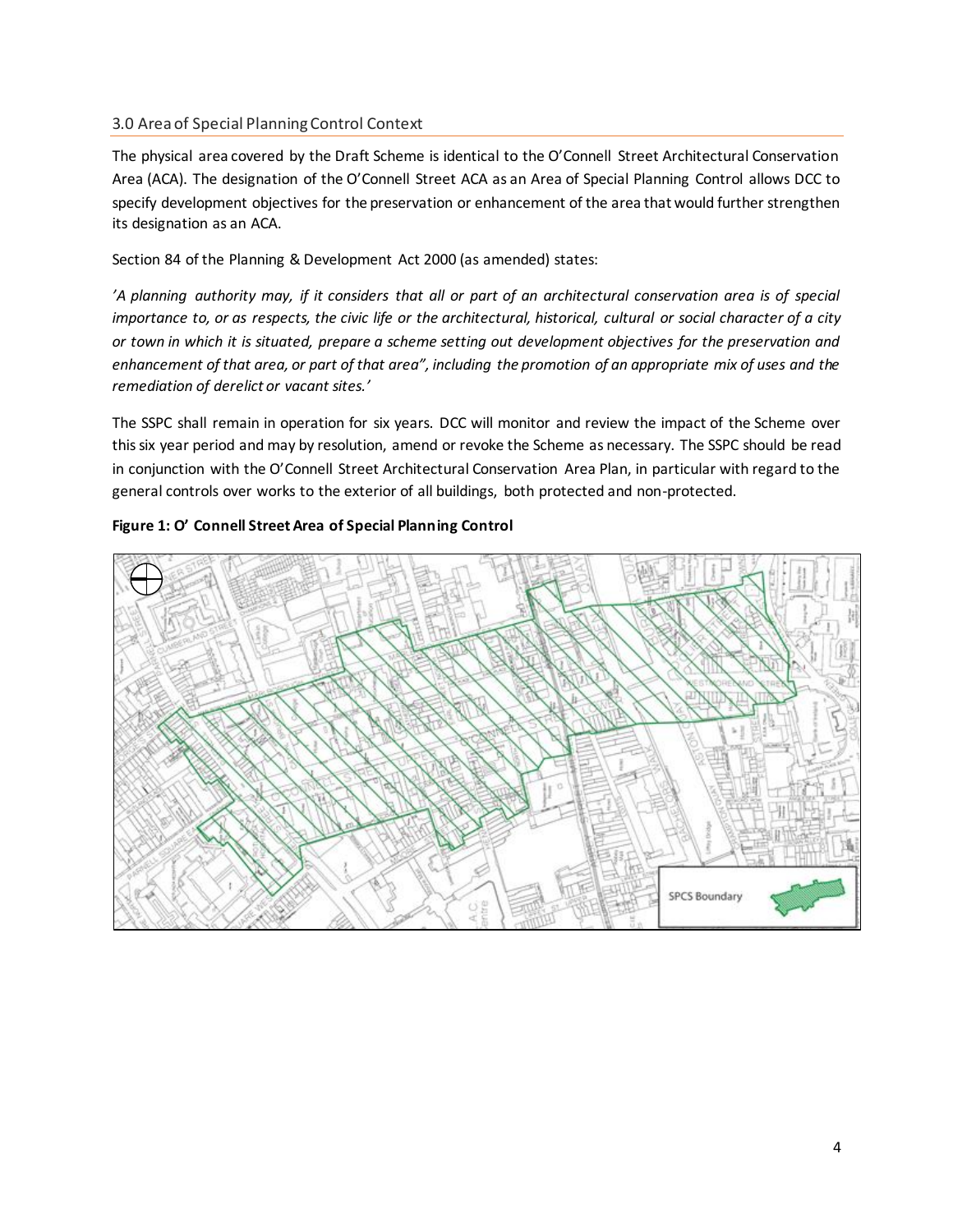#### <span id="page-4-0"></span>3.0 Area of Special Planning Control Context

The physical area covered by the Draft Scheme is identical to the O'Connell Street Architectural Conservation Area (ACA). The designation of the O'Connell Street ACA as an Area of Special Planning Control allows DCC to specify development objectives for the preservation or enhancement of the area that would further strengthen its designation as an ACA.

Section 84 of the Planning & Development Act 2000 (as amended) states:

*'A planning authority may, if it considers that all or part of an architectural conservation area is of special importance to, or as respects, the civic life or the architectural, historical, cultural or social character of a city or town in which it is situated, prepare a scheme setting out development objectives for the preservation and enhancement of that area, or part of that area", including the promotion of an appropriate mix of uses and the remediation of derelict or vacant sites.'*

The SSPC shall remain in operation for six years. DCC will monitor and review the impact of the Scheme over this six year period and may by resolution, amend or revoke the Scheme as necessary. The SSPC should be read in conjunction with the O'Connell Street Architectural Conservation Area Plan, in particular with regard to the general controls over works to the exterior of all buildings, both protected and non-protected.



#### **Figure 1: O' Connell Street Area of Special Planning Control**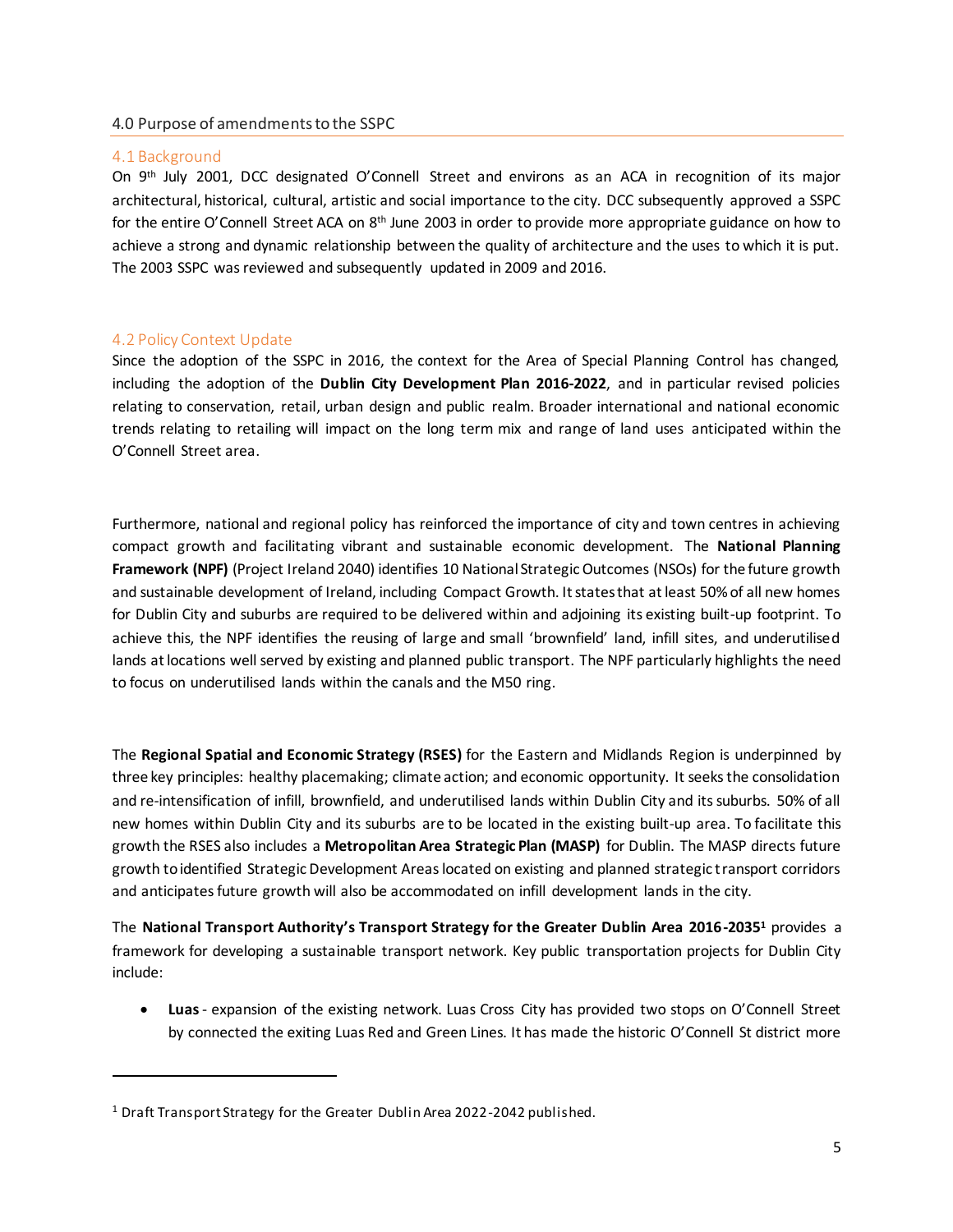#### <span id="page-5-0"></span>4.0 Purpose of amendments to the SSPC

#### <span id="page-5-1"></span>4.1 Background

On 9<sup>th</sup> July 2001, DCC designated O'Connell Street and environs as an ACA in recognition of its major architectural, historical, cultural, artistic and social importance to the city. DCC subsequently approved a SSPC for the entire O'Connell Street ACA on 8<sup>th</sup> June 2003 in order to provide more appropriate guidance on how to achieve a strong and dynamic relationship between the quality of architecture and the uses to which it is put. The 2003 SSPC was reviewed and subsequently updated in 2009 and 2016.

#### <span id="page-5-2"></span>4.2 Policy Context Update

 $\overline{a}$ 

Since the adoption of the SSPC in 2016, the context for the Area of Special Planning Control has changed, including the adoption of the **Dublin City Development Plan 2016-2022**, and in particular revised policies relating to conservation, retail, urban design and public realm. Broader international and national economic trends relating to retailing will impact on the long term mix and range of land uses anticipated within the O'Connell Street area.

Furthermore, national and regional policy has reinforced the importance of city and town centres in achieving compact growth and facilitating vibrant and sustainable economic development. The **National Planning Framework (NPF)** (Project Ireland 2040) identifies 10 National Strategic Outcomes (NSOs) for the future growth and sustainable development of Ireland, including Compact Growth. It states that at least 50% of all new homes for Dublin City and suburbs are required to be delivered within and adjoining its existing built-up footprint. To achieve this, the NPF identifies the reusing of large and small 'brownfield' land, infill sites, and underutilised lands at locations well served by existing and planned public transport. The NPF particularly highlights the need to focus on underutilised lands within the canals and the M50 ring.

The **Regional Spatial and Economic Strategy (RSES)** for the Eastern and Midlands Region is underpinned by three key principles: healthy placemaking; climate action; and economic opportunity. It seeks the consolidation and re-intensification of infill, brownfield, and underutilised lands within Dublin City and its suburbs. 50% of all new homes within Dublin City and its suburbs are to be located in the existing built-up area. To facilitate this growth the RSES also includes a **Metropolitan Area Strategic Plan (MASP)** for Dublin. The MASP directs future growth to identified Strategic Development Areas located on existing and planned strategic transport corridors and anticipates future growth will also be accommodated on infill development lands in the city.

The **National Transport Authority's Transport Strategy for the Greater Dublin Area 2016-2035<sup>1</sup>** provides a framework for developing a sustainable transport network. Key public transportation projects for Dublin City include:

 **Luas** - expansion of the existing network. Luas Cross City has provided two stops on O'Connell Street by connected the exiting Luas Red and Green Lines. It has made the historic O'Connell St district more

<sup>&</sup>lt;sup>1</sup> Draft Transport Strategy for the Greater Dublin Area 2022-2042 published.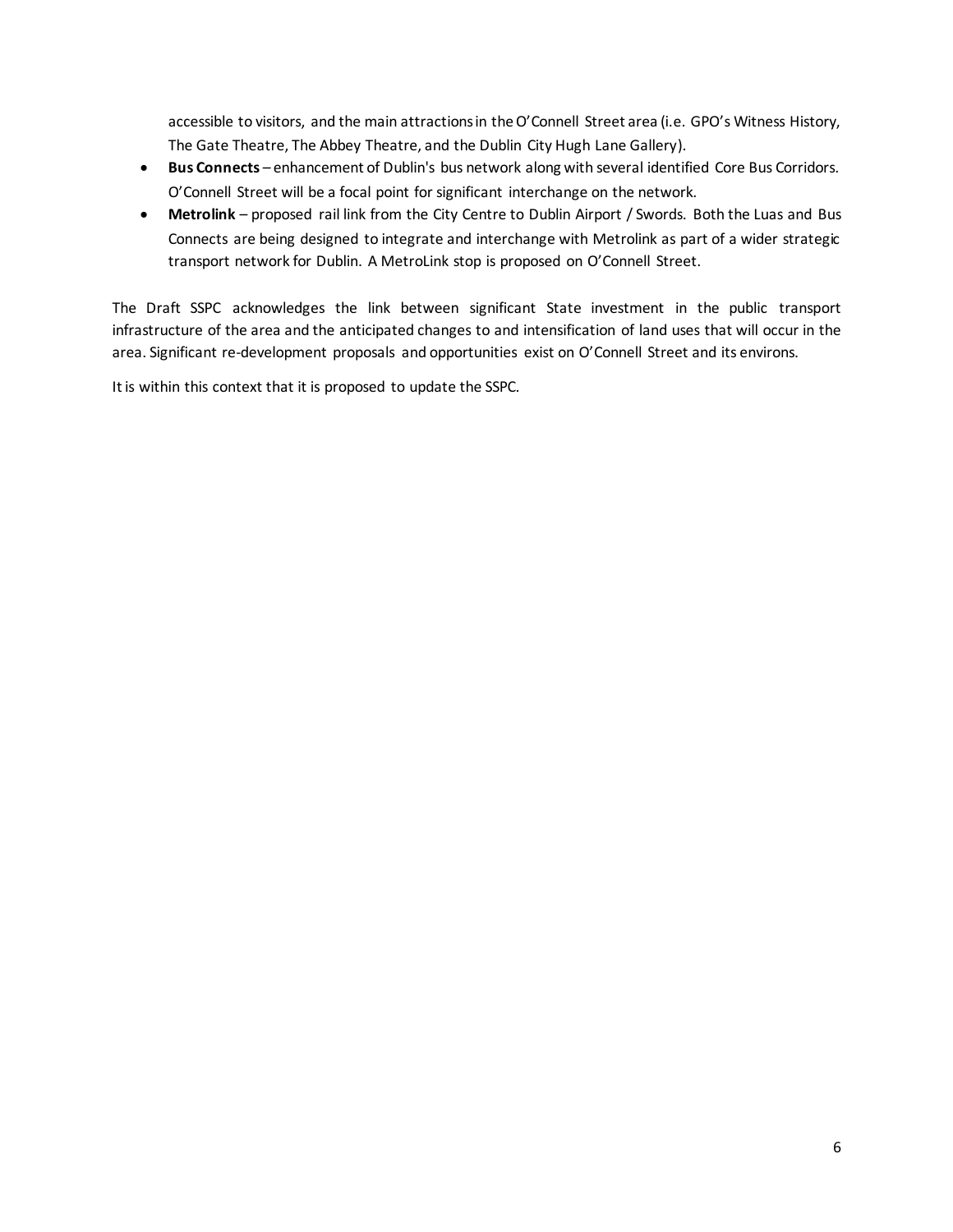accessible to visitors, and the main attractions in the O'Connell Street area (i.e. GPO's Witness History, The Gate Theatre, The Abbey Theatre, and the Dublin City Hugh Lane Gallery).

- **Bus Connects** enhancement of Dublin's bus network along with several identified Core Bus Corridors. O'Connell Street will be a focal point for significant interchange on the network.
- **Metrolink** proposed rail link from the City Centre to Dublin Airport / Swords. Both the Luas and Bus Connects are being designed to integrate and interchange with Metrolink as part of a wider strategic transport network for Dublin. A MetroLink stop is proposed on O'Connell Street.

The Draft SSPC acknowledges the link between significant State investment in the public transport infrastructure of the area and the anticipated changes to and intensification of land uses that will occur in the area. Significant re-development proposals and opportunities exist on O'Connell Street and its environs.

It is within this context that it is proposed to update the SSPC.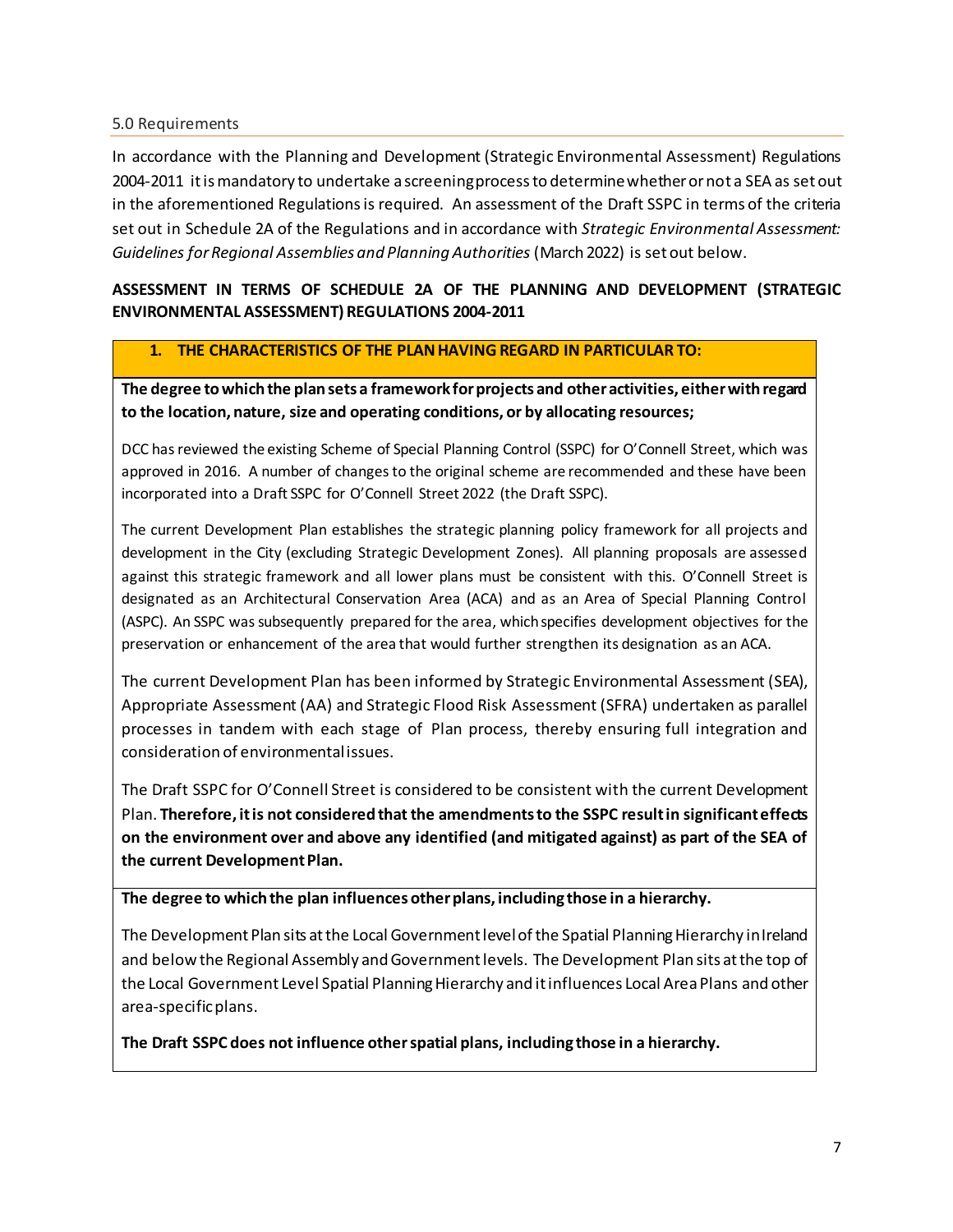#### <span id="page-7-0"></span>5.0 Requirements

In accordance with the Planning and Development (Strategic Environmental Assessment) Regulations 2004-2011 it is mandatory to undertake a screening process to determine whether or not a SEA as set out in the aforementioned Regulationsis required. An assessment of the Draft SSPC in terms of the criteria set out in Schedule 2A of the Regulations and in accordance with *Strategic Environmental Assessment: Guidelines for Regional Assemblies and Planning Authorities* (March 2022) is set out below.

### **ASSESSMENT IN TERMS OF SCHEDULE 2A OF THE PLANNING AND DEVELOPMENT (STRATEGIC ENVIRONMENTAL ASSESSMENT) REGULATIONS 2004-2011**

#### **1. THE CHARACTERISTICS OF THE PLAN HAVING REGARD IN PARTICULAR TO:**

**The degree to which the plan sets a framework for projects and other activities, either with regard to the location, nature, size and operating conditions, or by allocating resources;**

DCC has reviewed the existing Scheme of Special Planning Control (SSPC) for O'Connell Street, which was approved in 2016. A number of changes to the original scheme are recommended and these have been incorporated into a Draft SSPC for O'Connell Street 2022 (the Draft SSPC).

The current Development Plan establishes the strategic planning policy framework for all projects and development in the City (excluding Strategic Development Zones). All planning proposals are assessed against this strategic framework and all lower plans must be consistent with this. O'Connell Street is designated as an Architectural Conservation Area (ACA) and as an Area of Special Planning Control (ASPC). An SSPC was subsequently prepared for the area, which specifies development objectives for the preservation or enhancement of the area that would further strengthen its designation as an ACA.

The current Development Plan has been informed by Strategic Environmental Assessment (SEA), Appropriate Assessment (AA) and Strategic Flood Risk Assessment (SFRA) undertaken as parallel processes in tandem with each stage of Plan process, thereby ensuring full integration and consideration of environmental issues.

The Draft SSPC for O'Connell Street is considered to be consistent with the current Development Plan. **Therefore, it is not considered that the amendments to the SSPC result in significant effects on the environment over and above any identified (and mitigated against) as part of the SEA of the current Development Plan.**

**The degree to which the plan influences other plans, including those in a hierarchy.**

The Development Plan sits at the Local Government level of the Spatial Planning Hierarchy in Ireland and below the Regional Assembly and Government levels. The Development Plan sits at the top of the Local Government Level Spatial Planning Hierarchy and it influences Local Area Plans and other area-specific plans.

**The Draft SSPC does not influence other spatial plans, including those in a hierarchy.**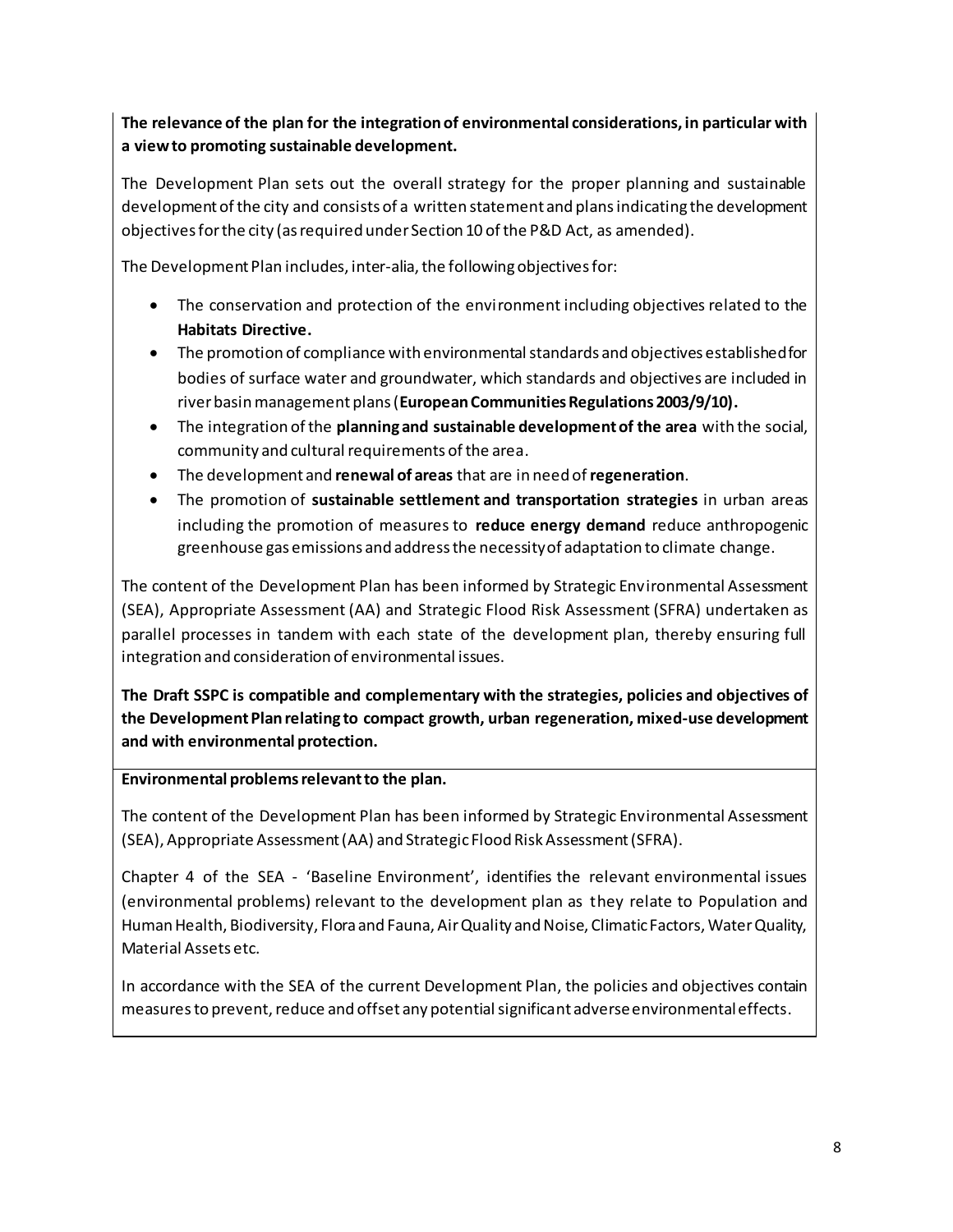## **The relevance of the plan for the integration of environmental considerations, in particular with a view to promoting sustainable development.**

The Development Plan sets out the overall strategy for the proper planning and sustainable development of the city and consists of a written statement and plans indicating the development objectives for the city (as required under Section 10 of the P&D Act, as amended).

The Development Plan includes, inter-alia, the following objectives for:

- The conservation and protection of the environment including objectives related to the **Habitats Directive.**
- The promotion of compliance with environmental standards and objectives established for bodies of surface water and groundwater, which standards and objectives are included in river basin management plans (**European Communities Regulations 2003/9/10).**
- The integration of the **planning and sustainable development of the area** with the social, community and cultural requirements of the area.
- The development and **renewal of areas** that are in need of **regeneration**.
- The promotion of **sustainable settlement and transportation strategies** in urban areas including the promotion of measures to **reduce energy demand** reduce anthropogenic greenhouse gas emissions and address the necessity of adaptation to climate change.

The content of the Development Plan has been informed by Strategic Environmental Assessment (SEA), Appropriate Assessment (AA) and Strategic Flood Risk Assessment (SFRA) undertaken as parallel processes in tandem with each state of the development plan, thereby ensuring full integration and consideration of environmental issues.

**The Draft SSPC is compatible and complementary with the strategies, policies and objectives of the Development Plan relating to compact growth, urban regeneration, mixed-use development and with environmental protection.**

**Environmental problems relevant to the plan.**

The content of the Development Plan has been informed by Strategic Environmental Assessment (SEA), Appropriate Assessment (AA) and Strategic Flood Risk Assessment (SFRA).

Chapter 4 of the SEA - 'Baseline Environment', identifies the relevant environmental issues (environmental problems) relevant to the development plan as they relate to Population and Human Health, Biodiversity, Flora and Fauna, Air Quality and Noise, Climatic Factors, Water Quality, Material Assets etc.

In accordance with the SEA of the current Development Plan, the policies and objectives contain measures to prevent, reduce and offset any potential significant adverse environmental effects.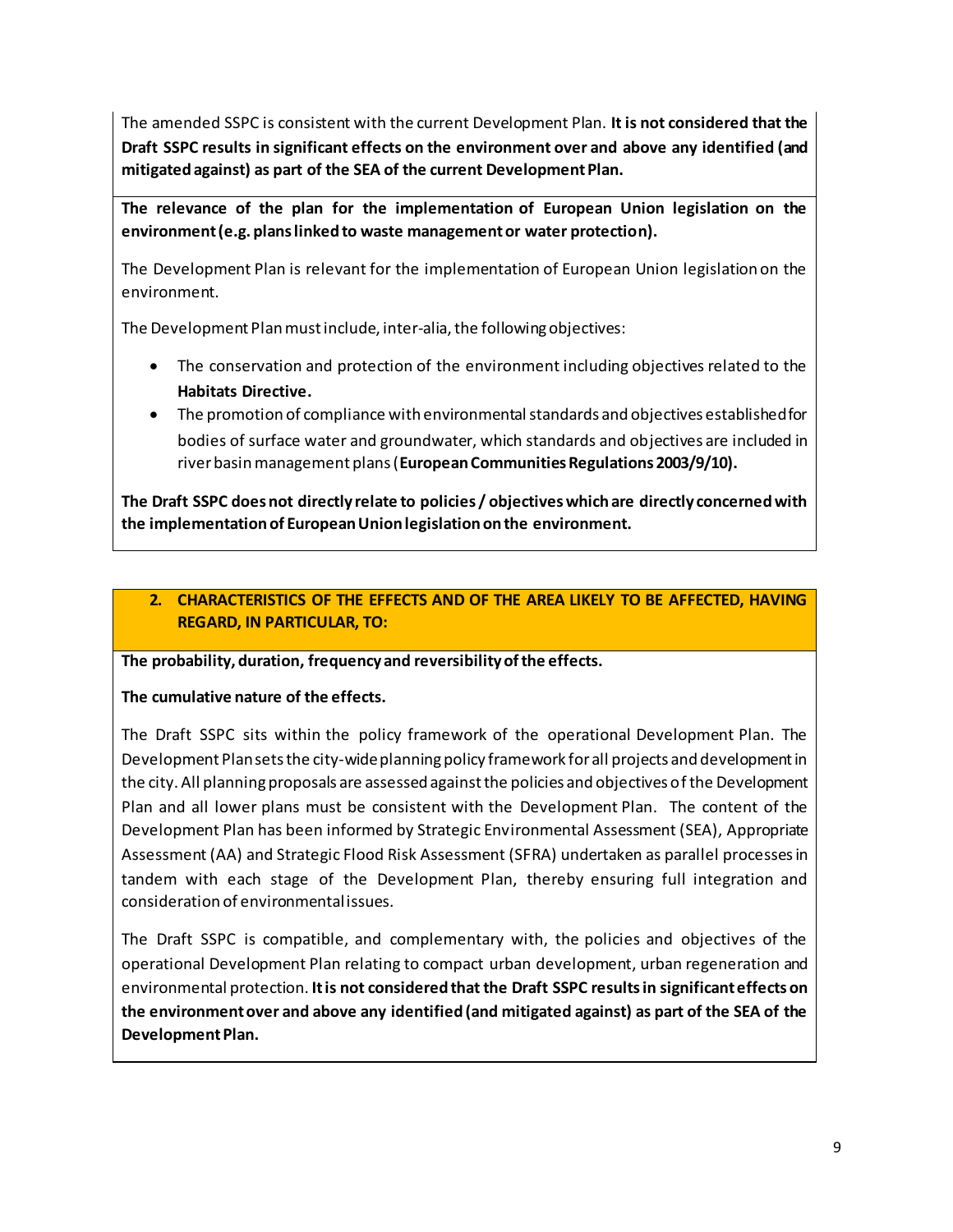The amended SSPC is consistent with the current Development Plan. **It is not considered that the Draft SSPC results in significant effects on the environment over and above any identified (and mitigated against) as part of the SEA of the current Development Plan.**

**The relevance of the plan for the implementation of European Union legislation on the environment (e.g. plans linked to waste management or water protection).**

The Development Plan is relevant for the implementation of European Union legislation on the environment.

The Development Plan must include, inter-alia, the following objectives:

- The conservation and protection of the environment including objectives related to the **Habitats Directive.**
- The promotion of compliance with environmental standards and objectives established for bodies of surface water and groundwater, which standards and objectives are included in river basin management plans (**European Communities Regulations 2003/9/10).**

**The Draft SSPC does not directly relate to policies / objectives which are directly concerned with the implementation of European Union legislation on the environment.** 

## **2. CHARACTERISTICS OF THE EFFECTS AND OF THE AREA LIKELY TO BE AFFECTED, HAVING REGARD, IN PARTICULAR, TO:**

#### **The probability, duration, frequency and reversibility of the effects.**

### **The cumulative nature of the effects.**

The Draft SSPC sits within the policy framework of the operational Development Plan. The Development Plansets the city-wide planning policy framework for all projects and development in the city. All planning proposals are assessed against the policies and objectives ofthe Development Plan and all lower plans must be consistent with the Development Plan. The content of the Development Plan has been informed by Strategic Environmental Assessment (SEA), Appropriate Assessment (AA) and Strategic Flood Risk Assessment (SFRA) undertaken as parallel processes in tandem with each stage of the Development Plan, thereby ensuring full integration and consideration of environmental issues.

The Draft SSPC is compatible, and complementary with, the policies and objectives of the operational Development Plan relating to compact urban development, urban regeneration and environmental protection. **It is not considered that the Draft SSPC results in significant effects on the environment over and above any identified (and mitigated against) as part of the SEA of the Development Plan.**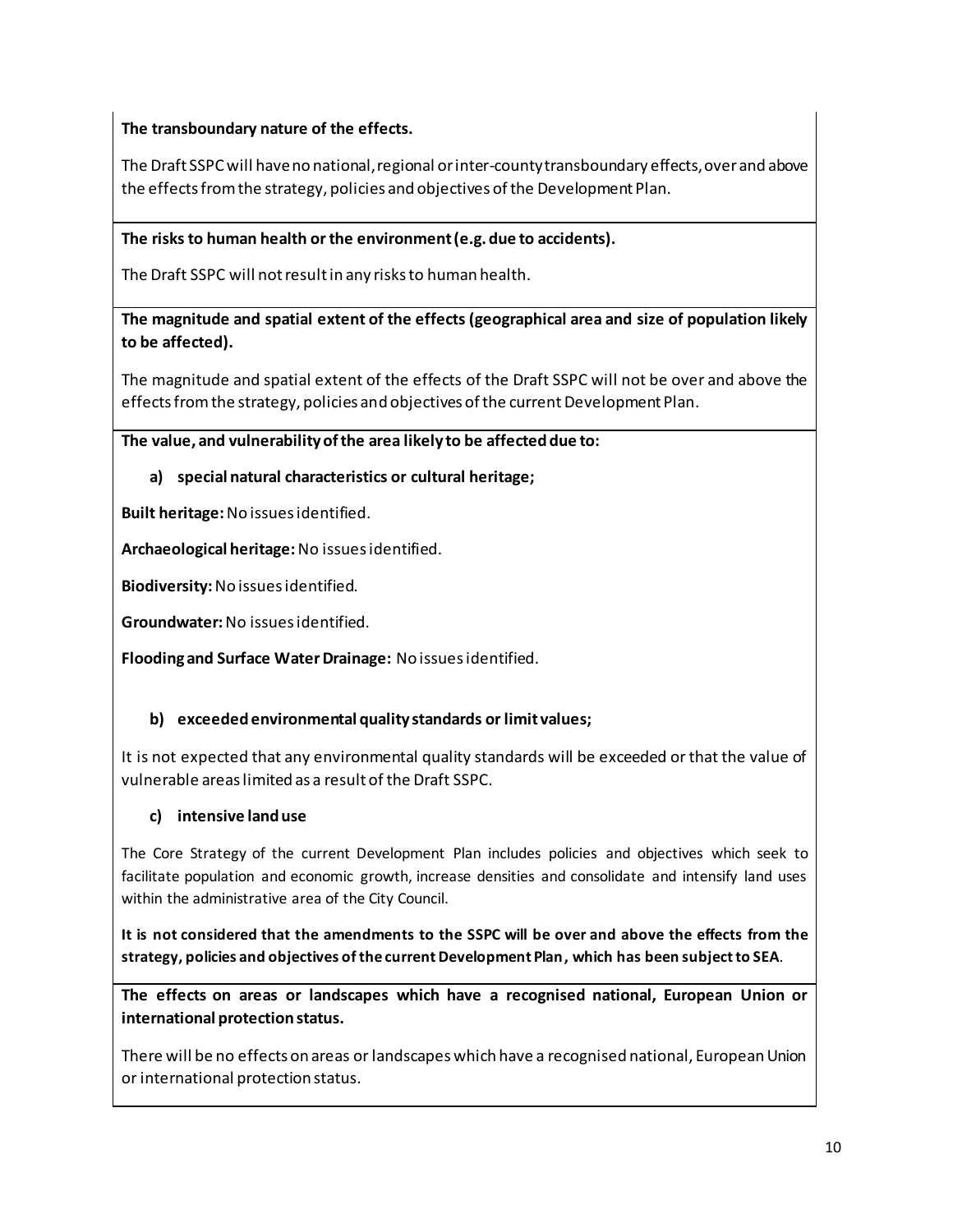## **The transboundary nature of the effects.**

The Draft SSPCwill have no national, regional or inter-county transboundary effects, over and above the effects from the strategy, policies and objectives of the Development Plan.

## **The risks to human health or the environment (e.g. due to accidents).**

The Draft SSPC will not result in any risks to human health.

## **The magnitude and spatial extent of the effects (geographical area and size of population likely to be affected).**

The magnitude and spatial extent of the effects of the Draft SSPC will not be over and above the effects from the strategy, policies and objectives of the current Development Plan.

## **The value, and vulnerability of the area likely to be affected due to:**

## **a) special natural characteristics or cultural heritage;**

**Built heritage:**No issues identified.

**Archaeological heritage:**No issues identified.

**Biodiversity:**No issues identified.

**Groundwater:** No issues identified.

**Flooding and Surface Water Drainage:** No issues identified.

## **b) exceeded environmental quality standards or limit values;**

It is not expected that any environmental quality standards will be exceeded or that the value of vulnerable areas limited as a result of the Draft SSPC.

### **c) intensive land use**

The Core Strategy of the current Development Plan includes policies and objectives which seek to facilitate population and economic growth, increase densities and consolidate and intensify land uses within the administrative area of the City Council.

**It is not considered that the amendments to the SSPC will be over and above the effects from the strategy, policies and objectives of the current Development Plan, which has been subject to SEA**.

**The effects on areas or landscapes which have a recognised national, European Union or international protection status.**

There will be no effects on areas or landscapes which have a recognised national, European Union or international protection status.